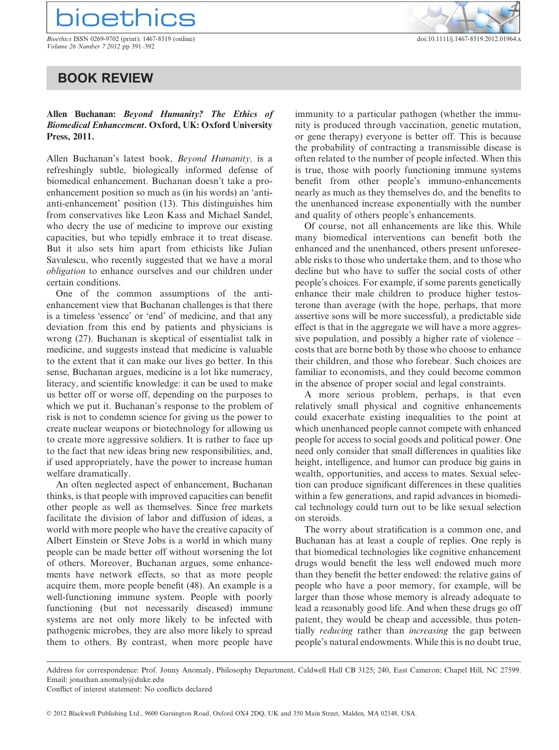

## oetł bs\_bs\_banner

*Bioethics* ISSN 0269-9702 (print); 1467-8519 (online) doi:10.1111/j.1467-8519.2012.01964.x *Volume 26 Number 7 2012* pp 391–392

## **BOOK REVIEW**

## **Allen Buchanan:** *Beyond Humanity? The Ethics of Biomedical Enhancement***. Oxford, UK: Oxford University Press, 2011.**

Allen Buchanan's latest book, *Beyond Humanity,* is a refreshingly subtle, biologically informed defense of biomedical enhancement. Buchanan doesn't take a proenhancement position so much as (in his words) an 'antianti-enhancement' position (13). This distinguishes him from conservatives like Leon Kass and Michael Sandel, who decry the use of medicine to improve our existing capacities, but who tepidly embrace it to treat disease. But it also sets him apart from ethicists like Julian Savulescu, who recently suggested that we have a moral *obligation* to enhance ourselves and our children under certain conditions.

One of the common assumptions of the antienhancement view that Buchanan challenges is that there is a timeless 'essence' or 'end' of medicine, and that any deviation from this end by patients and physicians is wrong (27). Buchanan is skeptical of essentialist talk in medicine, and suggests instead that medicine is valuable to the extent that it can make our lives go better. In this sense, Buchanan argues, medicine is a lot like numeracy, literacy, and scientific knowledge: it can be used to make us better off or worse off, depending on the purposes to which we put it. Buchanan's response to the problem of risk is not to condemn science for giving us the power to create nuclear weapons or biotechnology for allowing us to create more aggressive soldiers. It is rather to face up to the fact that new ideas bring new responsibilities, and, if used appropriately, have the power to increase human welfare dramatically.

An often neglected aspect of enhancement, Buchanan thinks, is that people with improved capacities can benefit other people as well as themselves. Since free markets facilitate the division of labor and diffusion of ideas, a world with more people who have the creative capacity of Albert Einstein or Steve Jobs is a world in which many people can be made better off without worsening the lot of others. Moreover, Buchanan argues, some enhancements have network effects, so that as more people acquire them, more people benefit (48). An example is a well-functioning immune system. People with poorly functioning (but not necessarily diseased) immune systems are not only more likely to be infected with pathogenic microbes, they are also more likely to spread them to others. By contrast, when more people have immunity to a particular pathogen (whether the immunity is produced through vaccination, genetic mutation, or gene therapy) everyone is better off. This is because the probability of contracting a transmissible disease is often related to the number of people infected. When this is true, those with poorly functioning immune systems benefit from other people's immuno-enhancements nearly as much as they themselves do, and the benefits to the unenhanced increase exponentially with the number and quality of others people's enhancements.

Of course, not all enhancements are like this. While many biomedical interventions can benefit both the enhanced and the unenhanced, others present unforeseeable risks to those who undertake them, and to those who decline but who have to suffer the social costs of other people's choices. For example, if some parents genetically enhance their male children to produce higher testosterone than average (with the hope, perhaps, that more assertive sons will be more successful), a predictable side effect is that in the aggregate we will have a more aggressive population, and possibly a higher rate of violence – costs that are borne both by those who choose to enhance their children, and those who forebear. Such choices are familiar to economists, and they could become common in the absence of proper social and legal constraints.

A more serious problem, perhaps, is that even relatively small physical and cognitive enhancements could exacerbate existing inequalities to the point at which unenhanced people cannot compete with enhanced people for access to social goods and political power. One need only consider that small differences in qualities like height, intelligence, and humor can produce big gains in wealth, opportunities, and access to mates. Sexual selection can produce significant differences in these qualities within a few generations, and rapid advances in biomedical technology could turn out to be like sexual selection on steroids.

The worry about stratification is a common one, and Buchanan has at least a couple of replies. One reply is that biomedical technologies like cognitive enhancement drugs would benefit the less well endowed much more than they benefit the better endowed: the relative gains of people who have a poor memory, for example, will be larger than those whose memory is already adequate to lead a reasonably good life. And when these drugs go off patent, they would be cheap and accessible, thus potentially *reducing* rather than *increasing* the gap between people's natural endowments. While this is no doubt true,

Address for correspondence: Prof. Jonny Anomaly, Philosophy Department, Caldwell Hall CB 3125; 240, East Cameron; Chapel Hill, NC 27599. Email: jonathan.anomaly@duke.edu

Conflict of interest statement: No conflicts declared